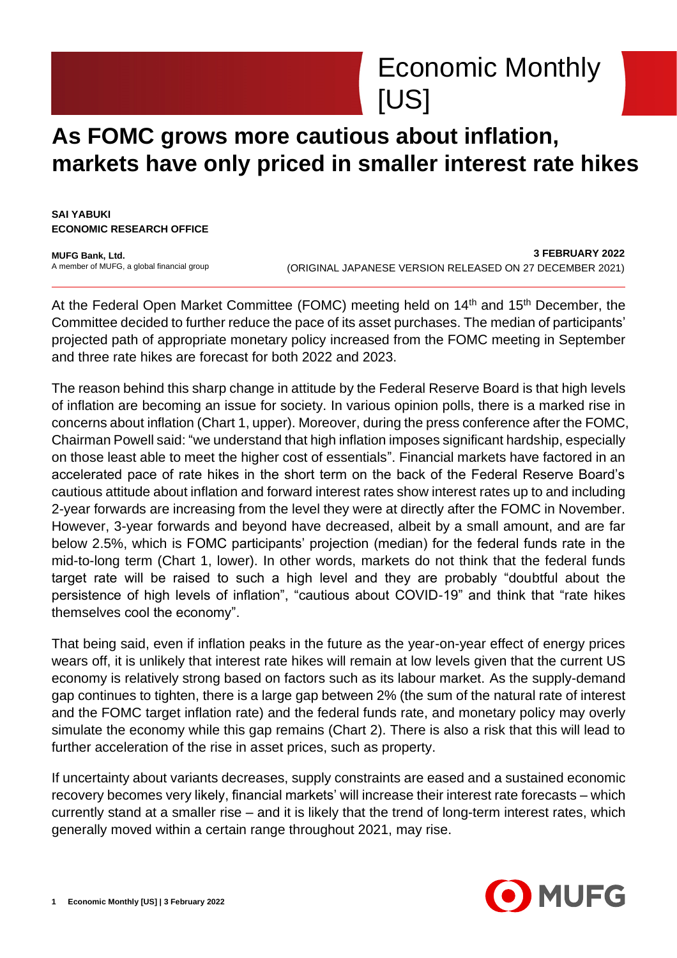

## **As FOMC grows more cautious about inflation, markets have only priced in smaller interest rate hikes**

**SAI YABUKI ECONOMIC RESEARCH OFFICE**

**MUFG Bank, Ltd.** A member of MUFG, a global financial group

**3 FEBRUARY 2022** (ORIGINAL JAPANESE VERSION RELEASED ON 27 DECEMBER 2021)

At the Federal Open Market Committee (FOMC) meeting held on  $14<sup>th</sup>$  and  $15<sup>th</sup>$  December, the Committee decided to further reduce the pace of its asset purchases. The median of participants' projected path of appropriate monetary policy increased from the FOMC meeting in September and three rate hikes are forecast for both 2022 and 2023.

The reason behind this sharp change in attitude by the Federal Reserve Board is that high levels of inflation are becoming an issue for society. In various opinion polls, there is a marked rise in concerns about inflation (Chart 1, upper). Moreover, during the press conference after the FOMC, Chairman Powell said: "we understand that high inflation imposes significant hardship, especially on those least able to meet the higher cost of essentials". Financial markets have factored in an accelerated pace of rate hikes in the short term on the back of the Federal Reserve Board's cautious attitude about inflation and forward interest rates show interest rates up to and including 2-year forwards are increasing from the level they were at directly after the FOMC in November. However, 3-year forwards and beyond have decreased, albeit by a small amount, and are far below 2.5%, which is FOMC participants' projection (median) for the federal funds rate in the mid-to-long term (Chart 1, lower). In other words, markets do not think that the federal funds target rate will be raised to such a high level and they are probably "doubtful about the persistence of high levels of inflation", "cautious about COVID-19" and think that "rate hikes themselves cool the economy".

That being said, even if inflation peaks in the future as the year-on-year effect of energy prices wears off, it is unlikely that interest rate hikes will remain at low levels given that the current US economy is relatively strong based on factors such as its labour market. As the supply-demand gap continues to tighten, there is a large gap between 2% (the sum of the natural rate of interest and the FOMC target inflation rate) and the federal funds rate, and monetary policy may overly simulate the economy while this gap remains (Chart 2). There is also a risk that this will lead to further acceleration of the rise in asset prices, such as property.

If uncertainty about variants decreases, supply constraints are eased and a sustained economic recovery becomes very likely, financial markets' will increase their interest rate forecasts – which currently stand at a smaller rise – and it is likely that the trend of long-term interest rates, which generally moved within a certain range throughout 2021, may rise.